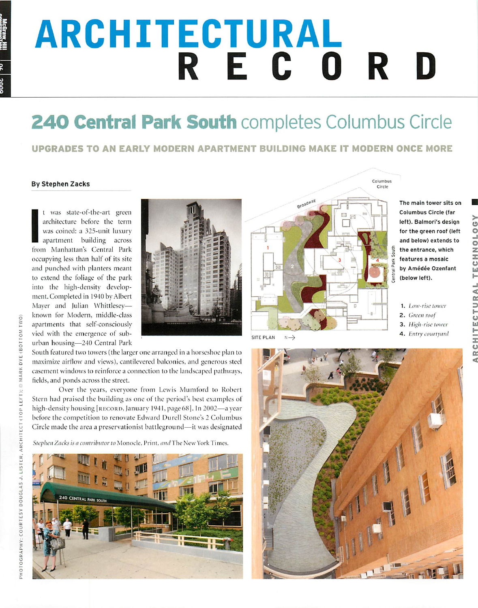# *ARCHITECTURAL* **EXAMPLE RECORD**

# *240 Central Park South* completes Columbus Circle

## UPGRADES TO AN EARLY MODERN APARTMENT BUILDING MAKE IT MODERN ONCE MORE

### *By Stephen Zacks*

It was state-of-the-art green architecture before the term was coined: a 325-unit luxury apartment building across from Manhattan's Central Park occupying less than half of its site and punched with planters meant to extend the foliage of the park into the high-density develop ment. Completed in 1940 by Albert Mayer and Julian Whittlesey apartments that self-consciously vied with the emergence of sub-**-** urban housing—240 Central Park



South featured two towers (the larger one arranged in a horseshoe plan to maximize airflow and views), cantilevered balconies, and generous steel casement windows to reinforce a connection to the landscaped pathways, fields, and ponds across the street.

Over the years, everyone from Lewis Mumford to Robert Stern had praised the building as one of the period's best examples of high-density housing [RECORD, January 1941, page 68]. In 2002—a year **Z** before the competition to renovate Edward Durell Stone's 2 Columbus Circle made the area a preservationist battleground—it was designated

<-> **Stephen /.neks is a contributor to** Monocle, Print, **ami** The Now York Times.





The main tower sits on Columbus Circle (far left). Balmori's design for the green roof (left and below) extends to the entrance, which **-• \*** features <sup>a</sup> mosaic by Amédée Ozenfant (below left).

- 1. **LoW'rise tower** 2. **(irccn roof**
- 3. **High-rise tower**
- 4. **Entry courtyard**